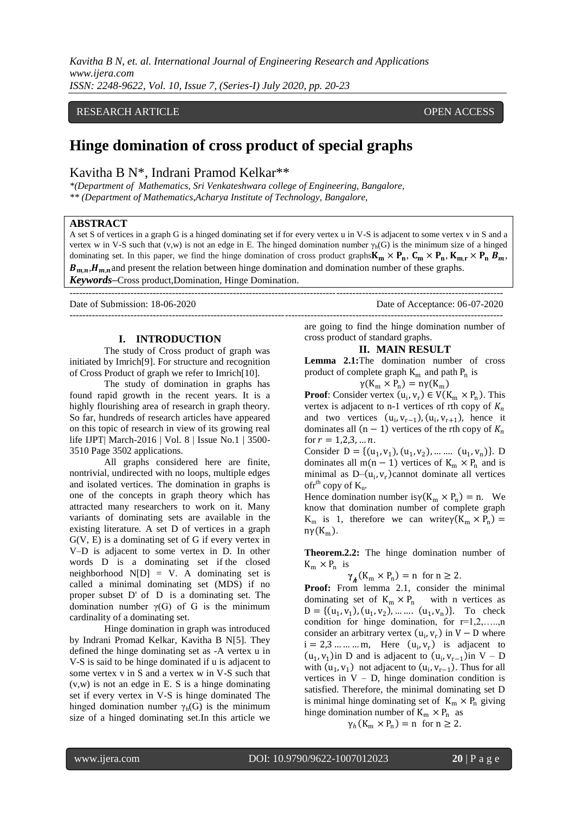*Kavitha B N, et. al. International Journal of Engineering Research and Applications www.ijera.com ISSN: 2248-9622, Vol. 10, Issue 7, (Series-I) July 2020, pp. 20-23*

## RESEARCH ARTICLE **CONTRACT ARTICLE**

# **Hinge domination of cross product of special graphs**

## Kavitha B N\*, Indrani Pramod Kelkar\*\*

*\*(Department of Mathematics, Sri Venkateshwara college of Engineering, Bangalore, \*\* (Department of Mathematics,Acharya Institute of Technology, Bangalore,*

#### **ABSTRACT**

A set S of vertices in a graph G is a hinged dominating set if for every vertex u in V-S is adjacent to some vertex v in S and a vertex w in V-S such that  $(v,w)$  is not an edge in E. The hinged domination number  $\gamma_h(G)$  is the minimum size of a hinged dominating set. In this paper, we find the hinge domination of cross product graphs  $K_m \times P_n$ ,  $C_m \times P_n$ ,  $K_{m,r} \times P_n$ ,  $B_m$ ,  $B_{m,n}$ ,  $H_{m,n}$  and present the relation between hinge domination and domination number of these graphs. *Keywords***–**Cross product,Domination, Hinge Domination.

---------------------------------------------------------------------------------------------------------------------------------------

--------------------------------------------------------------------------------------------------------------------------------------- Date of Submission: 18-06-2020 Date of Acceptance: 06-07-2020

#### **I. INTRODUCTION**

The study of Cross product of graph was initiated by Imrich[9]. For structure and recognition of Cross Product of graph we refer to Imrich[10].

The study of domination in graphs has found rapid growth in the recent years. It is a highly flourishing area of research in graph theory. So far, hundreds of research articles have appeared on this topic of research in view of its growing real life IJPT| March-2016 | Vol. 8 | Issue No.1 | 3500- 3510 Page 3502 applications.

All graphs considered here are finite, nontrivial, undirected with no loops, multiple edges and isolated vertices. The domination in graphs is one of the concepts in graph theory which has attracted many researchers to work on it. Many variants of dominating sets are available in the existing literature. A set D of vertices in a graph G(V, E) is a dominating set of G if every vertex in V–D is adjacent to some vertex in D. In other words D is a dominating set if the closed neighborhood  $N[D] = V$ . A dominating set is called a minimal dominating set (MDS) if no proper subset D' of D is a dominating set. The domination number  $γ(G)$  of G is the minimum cardinality of a dominating set.

Hinge domination in graph was introduced by Indrani Promad Kelkar, Kavitha B N[5]. They defined the hinge dominating set as -A vertex u in V-S is said to be hinge dominated if u is adjacent to some vertex v in S and a vertex w in V-S such that (v,w) is not an edge in E. S is a hinge dominating set if every vertex in V-S is hinge dominated The hinged domination number  $\gamma_h(G)$  is the minimum size of a hinged dominating set.In this article we

are going to find the hinge domination number of cross product of standard graphs.

#### **II. MAIN RESULT**

Lemma 2.1: The domination number of cross product of complete graph  $K_m$  and path  $P_n$  is

 $\gamma(K_m \times P_n) = n\gamma(K_m)$ 

**Proof**: Consider vertex  $(u_i, v_r) \in V(K_m \times P_n)$ . This vertex is adjacent to n-1 vertices of rth copy of  $K_n$ and two vertices  $(u_i, v_{r-1})$ ,  $(u_i, v_{r+1})$ , hence it dominates all  $(n - 1)$  vertices of the rth copy of  $K_n$ for  $r = 1, 2, 3, \dots n$ .

Consider  $D = \{(u_1, v_1), (u_1, v_2), \dots \dots (u_1, v_n)\}.$  D dominates all m(n – 1) vertices of  $K_m \times P_n$  and is minimal as  $D-(u_i, v_r)$ cannot dominate all vertices of  $r^{th}$  copy of  $K_n$ .

Hence domination number is  $\gamma(K_m \times P_n) = n$ . We know that domination number of complete graph  $K_m$  is 1, therefore we can write $\gamma(K_m \times P_n) =$  $n\gamma(K_m)$ .

**Theorem.2.2:** The hinge domination number of  $K_m \times P_n$  is

 $\gamma_{\mathbf{A}}(K_m \times P_n) = n$  for  $n \geq 2$ .

**Proof:** From lemma 2.1, consider the minimal dominating set of  $K_m \times P_n$  with n vertices as  $D = \{ (u_1, v_1), (u_1, v_2), \dots \dots (u_1, v_n) \}.$  To check condition for hinge domination, for  $r=1,2,...,n$ consider an arbitrary vertex  $(u_i, v_r)$  in  $V - D$  where  $i = 2, 3, \dots, m$ , Here  $(u_i, v_r)$  is adjacent to  $(u_1, v_1)$  in D and is adjacent to  $(u_i, v_{r-1})$  in V – D with  $(u_1, v_1)$  not adjacent to  $(u_i, v_{r-1})$ . Thus for all vertices in  $V - D$ , hinge domination condition is satisfied. Therefore, the minimal dominating set D is minimal hinge dominating set of  $K_m \times P_n$  giving hinge domination number of  $K_m \times P_n$  as  $\gamma_h$ (K<sub>m</sub> × P<sub>n</sub>) = n for n  $\geq$  2.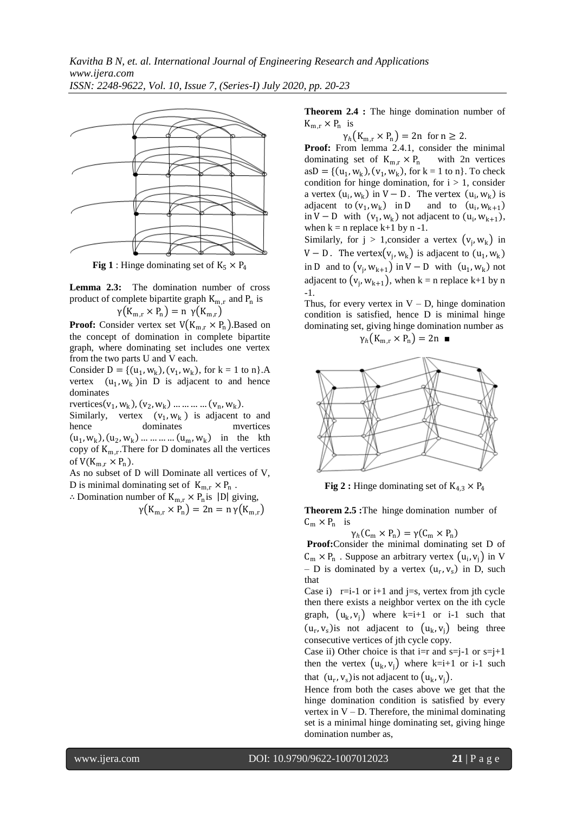

**Fig 1** : Hinge dominating set of  $K_5 \times P_4$ 

**Lemma 2.3:** The domination number of cross product of complete bipartite graph  $K_{m,r}$  and  $P_n$  is  $\gamma(K_{m,r} \times P_n) = n \gamma(K_{m,r})$ 

**Proof:** Consider vertex set  $V(K_{m,r} \times P_n)$ . Based on the concept of domination in complete bipartite graph, where dominating set includes one vertex from the two parts U and V each.

Consider  $D = \{(u_1, w_k), (v_1, w_k),$  for  $k = 1$  to n $\}$ .A vertex  $(u_1, w_k)$  in D is adjacent to and hence dominates

rvertices  $(v_1, w_k)$ ,  $(v_2, w_k)$  ... ... ... ...  $(v_n, w_k)$ .

Similarly, vertex  $(v_1, w_k)$  is adjacent to and hence dominates mvertices  $(u_1, w_k), (u_2, w_k) \dots \dots \dots (u_m, w_k)$  in the kth copy of  $K_{m,r}$ . There for D dominates all the vertices of  $V(K_{m,r} \times P_n)$ .

As no subset of D will Dominate all vertices of V, D is minimal dominating set of  $K_{m,r} \times P_n$ .

∴ Domination number of  $K_{m,r}$  ×  $P_n$  is |D| giving,  $\gamma(K_{m,r} \times P_n) = 2n = n \gamma(K_{m,r})$  **Theorem 2.4 :** The hinge domination number of  $K_{m,r} \times P_n$  is

 $\gamma_h(K_{m,r} \times P_n) = 2n$  for  $n \ge 2$ .

**Proof:** From lemma 2.4.1, consider the minimal dominating set of  $K_{m,r} \times P_n$  with 2n vertices  $asD = \{(u_1, w_k), (v_1, w_k), for k = 1 to n\}$ . To check condition for hinge domination, for  $i > 1$ , consider a vertex  $(u_i, w_k)$  in  $V - D$ . The vertex  $(u_i, w_k)$  is adjacent to  $(v_1, w_k)$  in D and to  $(u_i, w_{k+1})$ in V – D with  $(v_1, w_k)$  not adjacent to  $(u_i, w_{k+1})$ , when  $k = n$  replace  $k+1$  by n -1.

Similarly, for  $j > 1$ , consider a vertex  $(v_j, w_k)$  in V – D. The vertex $(v_j, w_k)$  is adjacent to  $(u_1, w_k)$ in D and to  $(v_j, w_{k+1})$  in V – D with  $(u_1, w_k)$  not adjacent to  $(v_j, w_{k+1})$ , when k = n replace k+1 by n -1.

Thus, for every vertex in  $V - D$ , hinge domination condition is satisfied, hence D is minimal hinge dominating set, giving hinge domination number as

$$
\gamma_h(K_{m,r} \times P_n) = 2n \blacksquare
$$



**Fig 2 :** Hinge dominating set of  $K_{4,3} \times P_4$ 

**Theorem 2.5 :**The hinge domination number of  $C_m \times P_n$  is

 $\gamma_h(C_m \times P_n) = \gamma(C_m \times P_n)$ 

**Proof:**Consider the minimal dominating set D of  $C_m \times P_n$ . Suppose an arbitrary vertex  $(u_i, v_j)$  in V - D is dominated by a vertex  $(u_r, v_s)$  in D, such that

Case i)  $r=i-1$  or  $i+1$  and  $i=s$ , vertex from ith cycle then there exists a neighbor vertex on the ith cycle graph,  $(u_k, v_j)$  where k=i+1 or i-1 such that  $(u_r, v_s)$  is not adjacent to  $(u_k, v_j)$  being three consecutive vertices of jth cycle copy.

Case ii) Other choice is that  $i=r$  and  $s=j-1$  or  $s=j+1$ then the vertex  $(u_k, v_j)$  where k=i+1 or i-1 such that  $(u_r, v_s)$  is not adjacent to  $(u_k, v_j)$ .

Hence from both the cases above we get that the hinge domination condition is satisfied by every vertex in  $V - D$ . Therefore, the minimal dominating set is a minimal hinge dominating set, giving hinge domination number as,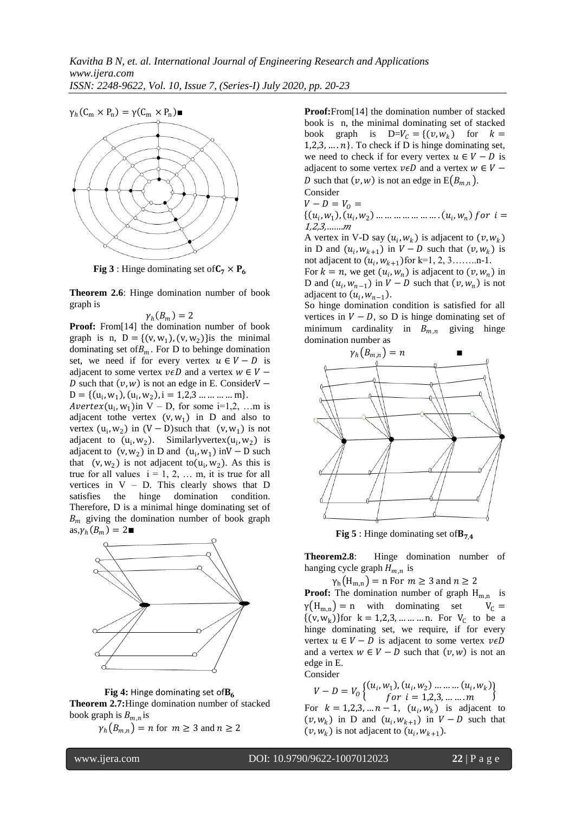

**Fig 3** : Hinge dominating set of  $C_7 \times P_6$ 

**Theorem 2.6**: Hinge domination number of book graph is

$$
\gamma_h(B_m)=2
$$

**Proof:** From[14] the domination number of book graph is n,  $D = \{(v, w_1), (v, w_2)\}\$ is the minimal dominating set of  $B_m$ . For D to behinge domination set, we need if for every vertex  $u \in V - D$  is adjacent to some vertex  $v \in D$  and a vertex  $w \in V -$ D such that  $(v, w)$  is not an edge in E. ConsiderV –  $D = \{ (u_i, w_1), (u_i, w_2), i = 1, 2, 3 \dots \dots \dots \dots m \}.$ 

Avertex( $u_i$ ,  $w_1$ )in V – D, for some i=1,2, ...m is adjacent tothe vertex  $(v, w_1)$  in D and also to vertex  $(u_i, w_2)$  in  $(V - D)$ such that  $(v, w_1)$  is not adjacent to  $(u_i, w_2)$ . Similarlyvertex $(u_i, w_2)$  is adjacent to  $(v, w_2)$  in D and  $(u_i, w_1)$  in V – D such that  $(v, w_2)$  is not adjacent to  $(u_i, w_2)$ . As this is true for all values  $i = 1, 2, \ldots$  m, it is true for all vertices in  $V - D$ . This clearly shows that D satisfies the hinge domination condition. Therefore, D is a minimal hinge dominating set of  $B_m$  giving the domination number of book graph  $\mathrm{as}\, \gamma_h(B_m) = 2 \blacksquare$ 



Fig 4: Hinge dominating set of B<sub>6</sub> **Theorem 2.7:**Hinge domination number of stacked book graph is  $B_{m,n}$  is

 $\gamma_h (B_{m,n}) = n$  for  $m \geq 3$  and  $n \geq 2$ 

**Proof:**From[14] the domination number of stacked book is n, the minimal dominating set of stacked book graph is  $D=V_c = \{(v, w_k)$  for  $k =$  $1,2,3,\ldots,n$ . To check if D is hinge dominating set, we need to check if for every vertex  $u \in V - D$  is adjacent to some vertex  $v \in D$  and a vertex  $w \in V -$ D such that  $(v, w)$  is not an edge in  $E(B_{m,n})$ .

Consider

$$
V - D = V_0 =
$$

 $\{(u_i, w_1), (u_i, w_2), \dots \dots \dots \dots \dots \dots (u_i, w_n) for i =$ 1,2,3,…….

A vertex in V-D say  $(u_i, w_k)$  is adjacent to  $(v, w_k)$ in D and  $(u_i, w_{k+1})$  in  $V - D$  such that  $(v, w_k)$  is not adjacent to  $(u_i, w_{k+1})$  for k=1, 2, 3..........n-1.

For  $k = n$ , we get  $(u_i, w_n)$  is adjacent to  $(v, w_n)$  in D and  $(u_i, w_{n-1})$  in  $V - D$  such that  $(v, w_n)$  is not adjacent to  $(u_i, w_{n-1})$ .

So hinge domination condition is satisfied for all vertices in  $V - D$ , so D is hinge dominating set of minimum cardinality in  $B_{m,n}$  giving hinge domination number as



**Fig 5** : Hinge dominating set of  $B_{74}$ 

**Theorem2.8**: Hinge domination number of hanging cycle graph  $H_{m,n}$  is

 $\gamma_h(H_{m,n}) = n$  For  $m \geq 3$  and  $n \geq 2$ **Proof:** The domination number of graph  $H_{m,n}$  is  $\gamma(H_{m,n}) = n$  with dominating set  $V_C =$  $\{(v, w_k)\}$ for  $k = 1, 2, 3, \dots \dots \dots n$ . For  $V_C$  to be a hinge dominating set, we require, if for every vertex  $u \in V - D$  is adjacent to some vertex  $v \in D$ and a vertex  $w \in V - D$  such that  $(v, w)$  is not an edge in E. Consider

 $V - D = V_0 \begin{cases} (u_i, w_1), (u_i, w_2) \dots \dots (u_i, w_k) \\ \text{for } i = 1, 2, 3 \end{cases}$ for  $i = 1,2,3,......$   $m$   $\left\{ \begin{array}{l} (u_1, w_k) \\ (w_k, w_k) \end{array} \right\}$ For  $k = 1, 2, 3, ... n - 1$ ,  $(u_i, w_k)$  is adjacent to  $(v, w_k)$  in D and  $(u_i, w_{k+1})$  in  $V - D$  such that  $(v, w_k)$  is not adjacent to  $(u_i, w_{k+1})$ .